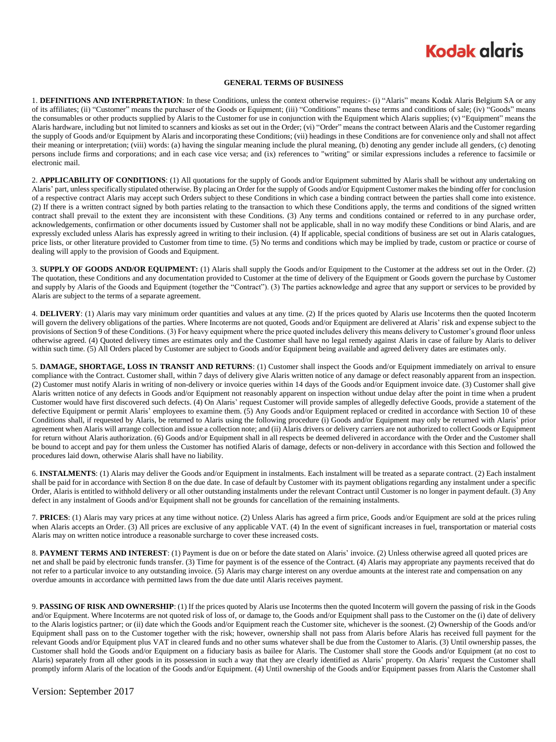## **Kodak glgris**

#### **GENERAL TERMS OF BUSINESS**

1. **DEFINITIONS AND INTERPRETATION**: In these Conditions, unless the context otherwise requires:- (i) "Alaris" means Kodak Alaris Belgium SA or any of its affiliates; (ii) "Customer" means the purchaser of the Goods or Equipment; (iii) "Conditions" means these terms and conditions of sale; (iv) "Goods" means the consumables or other products supplied by Alaris to the Customer for use in conjunction with the Equipment which Alaris supplies; (v) "Equipment" means the Alaris hardware, including but not limited to scanners and kiosks as set out in the Order; (vi) "Order" means the contract between Alaris and the Customer regarding the supply of Goods and/or Equipment by Alaris and incorporating these Conditions; (vii) headings in these Conditions are for convenience only and shall not affect their meaning or interpretation; (viii) words: (a) having the singular meaning include the plural meaning, (b) denoting any gender include all genders, (c) denoting persons include firms and corporations; and in each case vice versa; and (ix) references to "writing" or similar expressions includes a reference to facsimile or electronic mail.

2. **APPLICABILITY OF CONDITIONS**: (1) All quotations for the supply of Goods and/or Equipment submitted by Alaris shall be without any undertaking on Alaris' part, unless specifically stipulated otherwise. By placing an Order for the supply of Goods and/or Equipment Customer makes the binding offer for conclusion of a respective contract Alaris may accept such Orders subject to these Conditions in which case a binding contract between the parties shall come into existence. (2) If there is a written contract signed by both parties relating to the transaction to which these Conditions apply, the terms and conditions of the signed written contract shall prevail to the extent they are inconsistent with these Conditions. (3) Any terms and conditions contained or referred to in any purchase order, acknowledgements, confirmation or other documents issued by Customer shall not be applicable, shall in no way modify these Conditions or bind Alaris, and are expressly excluded unless Alaris has expressly agreed in writing to their inclusion. (4) If applicable, special conditions of business are set out in Alaris catalogues, price lists, or other literature provided to Customer from time to time. (5) No terms and conditions which may be implied by trade, custom or practice or course of dealing will apply to the provision of Goods and Equipment.

3. **SUPPLY OF GOODS AND/OR EQUIPMENT:** (1) Alaris shall supply the Goods and/or Equipment to the Customer at the address set out in the Order. (2) The quotation, these Conditions and any documentation provided to Customer at the time of delivery of the Equipment or Goods govern the purchase by Customer and supply by Alaris of the Goods and Equipment (together the "Contract"). (3) The parties acknowledge and agree that any support or services to be provided by Alaris are subject to the terms of a separate agreement.

4. **DELIVERY**: (1) Alaris may vary minimum order quantities and values at any time. (2) If the prices quoted by Alaris use Incoterms then the quoted Incoterm will govern the delivery obligations of the parties. Where Incoterms are not quoted, Goods and/or Equipment are delivered at Alaris' risk and expense subject to the provisions of Section 9 of these Conditions. (3) For heavy equipment where the price quoted includes delivery this means delivery to Customer's ground floor unless otherwise agreed. (4) Quoted delivery times are estimates only and the Customer shall have no legal remedy against Alaris in case of failure by Alaris to deliver within such time. (5) All Orders placed by Customer are subject to Goods and/or Equipment being available and agreed delivery dates are estimates only.

5. **DAMAGE, SHORTAGE, LOSS IN TRANSIT AND RETURNS**: (1) Customer shall inspect the Goods and/or Equipment immediately on arrival to ensure compliance with the Contract. Customer shall, within 7 days of delivery give Alaris written notice of any damage or defect reasonably apparent from an inspection. (2) Customer must notify Alaris in writing of non-delivery or invoice queries within 14 days of the Goods and/or Equipment invoice date. (3) Customer shall give Alaris written notice of any defects in Goods and/or Equipment not reasonably apparent on inspection without undue delay after the point in time when a prudent Customer would have first discovered such defects. (4) On Alaris' request Customer will provide samples of allegedly defective Goods, provide a statement of the defective Equipment or permit Alaris' employees to examine them. (5) Any Goods and/or Equipment replaced or credited in accordance with Section 10 of these Conditions shall, if requested by Alaris, be returned to Alaris using the following procedure (i) Goods and/or Equipment may only be returned with Alaris' prior agreement when Alaris will arrange collection and issue a collection note; and (ii) Alaris drivers or delivery carriers are not authorized to collect Goods or Equipment for return without Alaris authorization. (6) Goods and/or Equipment shall in all respects be deemed delivered in accordance with the Order and the Customer shall be bound to accept and pay for them unless the Customer has notified Alaris of damage, defects or non-delivery in accordance with this Section and followed the procedures laid down, otherwise Alaris shall have no liability.

6. **INSTALMENTS**: (1) Alaris may deliver the Goods and/or Equipment in instalments. Each instalment will be treated as a separate contract. (2) Each instalment shall be paid for in accordance with Section 8 on the due date. In case of default by Customer with its payment obligations regarding any instalment under a specific Order, Alaris is entitled to withhold delivery or all other outstanding instalments under the relevant Contract until Customer is no longer in payment default. (3) Any defect in any instalment of Goods and/or Equipment shall not be grounds for cancellation of the remaining instalments.

7. **PRICES**: (1) Alaris may vary prices at any time without notice. (2) Unless Alaris has agreed a firm price, Goods and/or Equipment are sold at the prices ruling when Alaris accepts an Order. (3) All prices are exclusive of any applicable VAT. (4) In the event of significant increases in fuel, transportation or material costs Alaris may on written notice introduce a reasonable surcharge to cover these increased costs.

8. PAYMENT TERMS AND INTEREST: (1) Payment is due on or before the date stated on Alaris' invoice. (2) Unless otherwise agreed all quoted prices are net and shall be paid by electronic funds transfer. (3) Time for payment is of the essence of the Contract. (4) Alaris may appropriate any payments received that do not refer to a particular invoice to any outstanding invoice. (5) Alaris may charge interest on any overdue amounts at the interest rate and compensation on any overdue amounts in accordance with permitted laws from the due date until Alaris receives payment.

9. **PASSING OF RISK AND OWNERSHIP**: (1) If the prices quoted by Alaris use Incoterms then the quoted Incoterm will govern the passing of risk in the Goods and/or Equipment. Where Incoterms are not quoted risk of loss of, or damage to, the Goods and/or Equipment shall pass to the Customer on the (i) date of delivery to the Alaris logistics partner; or (ii) date which the Goods and/or Equipment reach the Customer site, whichever is the soonest. (2) Ownership of the Goods and/or Equipment shall pass on to the Customer together with the risk; however, ownership shall not pass from Alaris before Alaris has received full payment for the relevant Goods and/or Equipment plus VAT in cleared funds and no other sums whatever shall be due from the Customer to Alaris. (3) Until ownership passes, the Customer shall hold the Goods and/or Equipment on a fiduciary basis as bailee for Alaris. The Customer shall store the Goods and/or Equipment (at no cost to Alaris) separately from all other goods in its possession in such a way that they are clearly identified as Alaris' property. On Alaris' request the Customer shall promptly inform Alaris of the location of the Goods and/or Equipment. (4) Until ownership of the Goods and/or Equipment passes from Alaris the Customer shall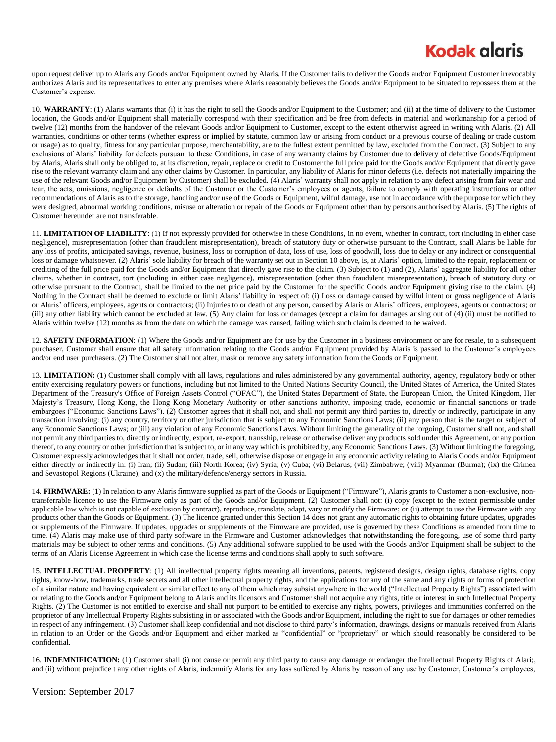## **Kodak glgris**

upon request deliver up to Alaris any Goods and/or Equipment owned by Alaris. If the Customer fails to deliver the Goods and/or Equipment Customer irrevocably authorizes Alaris and its representatives to enter any premises where Alaris reasonably believes the Goods and/or Equipment to be situated to repossess them at the Customer's expense.

10. **WARRANTY**: (1) Alaris warrants that (i) it has the right to sell the Goods and/or Equipment to the Customer; and (ii) at the time of delivery to the Customer location, the Goods and/or Equipment shall materially correspond with their specification and be free from defects in material and workmanship for a period of twelve (12) months from the handover of the relevant Goods and/or Equipment to Customer, except to the extent otherwise agreed in writing with Alaris. (2) All warranties, conditions or other terms (whether express or implied by statute, common law or arising from conduct or a previous course of dealing or trade custom or usage) as to quality, fitness for any particular purpose, merchantability, are to the fullest extent permitted by law, excluded from the Contract. (3) Subject to any exclusions of Alaris' liability for defects pursuant to these Conditions, in case of any warranty claims by Customer due to delivery of defective Goods/Equipment by Alaris, Alaris shall only be obliged to, at its discretion, repair, replace or credit to Customer the full price paid for the Goods and/or Equipment that directly gave rise to the relevant warranty claim and any other claims by Customer. In particular, any liability of Alaris for minor defects (i.e. defects not materially impairing the use of the relevant Goods and/or Equipment by Customer) shall be excluded. (4) Alaris' warranty shall not apply in relation to any defect arising from fair wear and tear, the acts, omissions, negligence or defaults of the Customer or the Customer's employees or agents, failure to comply with operating instructions or other recommendations of Alaris as to the storage, handling and/or use of the Goods or Equipment, wilful damage, use not in accordance with the purpose for which they were designed, abnormal working conditions, misuse or alteration or repair of the Goods or Equipment other than by persons authorised by Alaris. (5) The rights of Customer hereunder are not transferable.

11. **LIMITATION OF LIABILITY**: (1) If not expressly provided for otherwise in these Conditions, in no event, whether in contract, tort (including in either case negligence), misrepresentation (other than fraudulent misrepresentation), breach of statutory duty or otherwise pursuant to the Contract, shall Alaris be liable for any loss of profits, anticipated savings, revenue, business, loss or corruption of data, loss of use, loss of goodwill, loss due to delay or any indirect or consequential loss or damage whatsoever. (2) Alaris' sole liability for breach of the warranty set out in Section 10 above, is, at Alaris' option, limited to the repair, replacement or crediting of the full price paid for the Goods and/or Equipment that directly gave rise to the claim. (3) Subject to (1) and (2), Alaris' aggregate liability for all other claims, whether in contract, tort (including in either case negligence), misrepresentation (other than fraudulent misrepresentation), breach of statutory duty or otherwise pursuant to the Contract, shall be limited to the net price paid by the Customer for the specific Goods and/or Equipment giving rise to the claim. (4) Nothing in the Contract shall be deemed to exclude or limit Alaris' liability in respect of: (i) Loss or damage caused by wilful intent or gross negligence of Alaris or Alaris' officers, employees, agents or contractors; (ii) Injuries to or death of any person, caused by Alaris or Alaris' officers, employees, agents or contractors; or (iii) any other liability which cannot be excluded at law. (5) Any claim for loss or damages (except a claim for damages arising out of (4) (ii) must be notified to Alaris within twelve (12) months as from the date on which the damage was caused, failing which such claim is deemed to be waived.

12. **SAFETY INFORMATION**: (1) Where the Goods and/or Equipment are for use by the Customer in a business environment or are for resale, to a subsequent purchaser, Customer shall ensure that all safety information relating to the Goods and/or Equipment provided by Alaris is passed to the Customer's employees and/or end user purchasers. (2) The Customer shall not alter, mask or remove any safety information from the Goods or Equipment.

13. **LIMITATION:** (1) Customer shall comply with all laws, regulations and rules administered by any governmental authority, agency, regulatory body or other entity exercising regulatory powers or functions, including but not limited to the United Nations Security Council, the United States of America, the United States Department of the Treasury's Office of Foreign Assets Control ("OFAC"), the United States Department of State, the European Union, the United Kingdom, Her Majesty's Treasury, Hong Kong, the Hong Kong Monetary Authority or other sanctions authority, imposing trade, economic or financial sanctions or trade embargoes ("Economic Sanctions Laws"). (2) Customer agrees that it shall not, and shall not permit any third parties to, directly or indirectly, participate in any transaction involving: (i) any country, territory or other jurisdiction that is subject to any Economic Sanctions Laws; (ii) any person that is the target or subject of any Economic Sanctions Laws; or (iii) any violation of any Economic Sanctions Laws. Without limiting the generality of the forgoing, Customer shall not, and shall not permit any third parties to, directly or indirectly, export, re-export, transship, release or otherwise deliver any products sold under this Agreement, or any portion thereof, to any country or other jurisdiction that is subject to, or in any way which is prohibited by, any Economic Sanctions Laws. (3) Without limiting the foregoing, Customer expressly acknowledges that it shall not order, trade, sell, otherwise dispose or engage in any economic activity relating to Alaris Goods and/or Equipment either directly or indirectly in: (i) Iran; (ii) Sudan; (iii) North Korea; (iv) Syria; (v) Cuba; (vi) Belarus; (vii) Zimbabwe; (viii) Myanmar (Burma); (ix) the Crimea and Sevastopol Regions (Ukraine); and (x) the military/defence/energy sectors in Russia.

14. **FIRMWARE:** (1) In relation to any Alaris firmware supplied as part of the Goods or Equipment ("Firmware"), Alaris grants to Customer a non-exclusive, nontransferrable licence to use the Firmware only as part of the Goods and/or Equipment. (2) Customer shall not: (i) copy (except to the extent permissible under applicable law which is not capable of exclusion by contract), reproduce, translate, adapt, vary or modify the Firmware; or (ii) attempt to use the Firmware with any products other than the Goods or Equipment. (3) The licence granted under this Section 14 does not grant any automatic rights to obtaining future updates, upgrades or supplements of the Firmware. If updates, upgrades or supplements of the Firmware are provided, use is governed by these Conditions as amended from time to time. (4) Alaris may make use of third party software in the Firmware and Customer acknowledges that notwithstanding the foregoing, use of some third party materials may be subject to other terms and conditions. (5) Any additional software supplied to be used with the Goods and/or Equipment shall be subject to the terms of an Alaris License Agreement in which case the license terms and conditions shall apply to such software.

15. **INTELLECTUAL PROPERTY**: (1) All intellectual property rights meaning all inventions, patents, registered designs, design rights, database rights, copy rights, know-how, trademarks, trade secrets and all other intellectual property rights, and the applications for any of the same and any rights or forms of protection of a similar nature and having equivalent or similar effect to any of them which may subsist anywhere in the world ("Intellectual Property Rights") associated with or relating to the Goods and/or Equipment belong to Alaris and its licensors and Customer shall not acquire any rights, title or interest in such Intellectual Property Rights. (2) The Customer is not entitled to exercise and shall not purport to be entitled to exercise any rights, powers, privileges and immunities conferred on the proprietor of any Intellectual Property Rights subsisting in or associated with the Goods and/or Equipment, including the right to sue for damages or other remedies in respect of any infringement. (3) Customer shall keep confidential and not disclose to third party's information, drawings, designs or manuals received from Alaris in relation to an Order or the Goods and/or Equipment and either marked as "confidential" or "proprietary" or which should reasonably be considered to be confidential.

16. **INDEMNIFICATION:** (1) Customer shall (i) not cause or permit any third party to cause any damage or endanger the Intellectual Property Rights of Alari;, and (ii) without prejudice t any other rights of Alaris, indemnify Alaris for any loss suffered by Alaris by reason of any use by Customer, Customer's employees,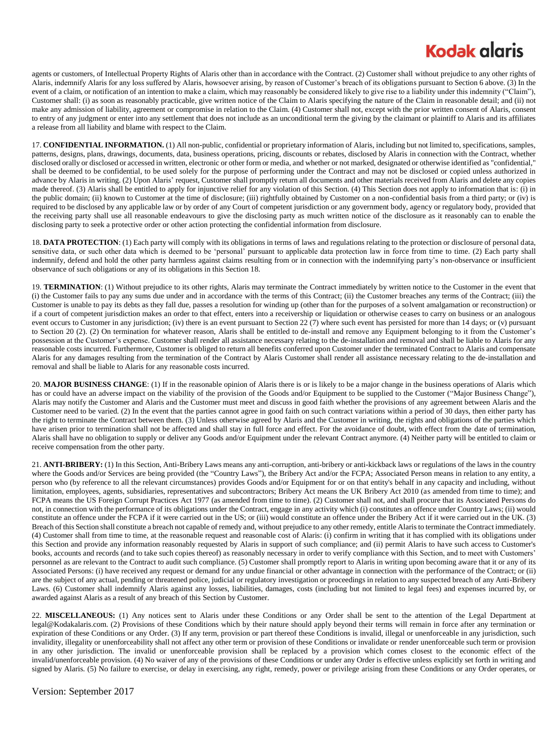## **Kodak glaris**

agents or customers, of Intellectual Property Rights of Alaris other than in accordance with the Contract. (2) Customer shall without prejudice to any other rights of Alaris, indemnify Alaris for any loss suffered by Alaris, howsoever arising, by reason of Customer's breach of its obligations pursuant to Section 6 above. (3) In the event of a claim, or notification of an intention to make a claim, which may reasonably be considered likely to give rise to a liability under this indemnity ("Claim"), Customer shall: (i) as soon as reasonably practicable, give written notice of the Claim to Alaris specifying the nature of the Claim in reasonable detail; and (ii) not make any admission of liability, agreement or compromise in relation to the Claim. (4) Customer shall not, except with the prior written consent of Alaris, consent to entry of any judgment or enter into any settlement that does not include as an unconditional term the giving by the claimant or plaintiff to Alaris and its affiliates a release from all liability and blame with respect to the Claim.

17. **CONFIDENTIAL INFORMATION.** (1) All non-public, confidential or proprietary information of Alaris, including but not limited to, specifications, samples, patterns, designs, plans, drawings, documents, data, business operations, pricing, discounts or rebates, disclosed by Alaris in connection with the Contract, whether disclosed orally or disclosed or accessed in written, electronic or other form or media, and whether or not marked, designated or otherwise identified as "confidential," shall be deemed to be confidential, to be used solely for the purpose of performing under the Contract and may not be disclosed or copied unless authorized in advance by Alaris in writing. (2) Upon Alaris' request, Customer shall promptly return all documents and other materials received from Alaris and delete any copies made thereof. (3) Alaris shall be entitled to apply for injunctive relief for any violation of this Section. (4) This Section does not apply to information that is: (i) in the public domain; (ii) known to Customer at the time of disclosure; (iii) rightfully obtained by Customer on a non-confidential basis from a third party; or (iv) is required to be disclosed by any applicable law or by order of any Court of competent jurisdiction or any government body, agency or regulatory body, provided that the receiving party shall use all reasonable endeavours to give the disclosing party as much written notice of the disclosure as it reasonably can to enable the disclosing party to seek a protective order or other action protecting the confidential information from disclosure.

18. **DATA PROTECTION**: (1) Each party will comply with its obligations in terms of laws and regulations relating to the protection or disclosure of personal data, sensitive data, or such other data which is deemed to be 'personal' pursuant to applicable data protection law in force from time to time. (2) Each party shall indemnify, defend and hold the other party harmless against claims resulting from or in connection with the indemnifying party's non-observance or insufficient observance of such obligations or any of its obligations in this Section 18.

19. **TERMINATION**: (1) Without prejudice to its other rights, Alaris may terminate the Contract immediately by written notice to the Customer in the event that (i) the Customer fails to pay any sums due under and in accordance with the terms of this Contract; (ii) the Customer breaches any terms of the Contract; (iii) the Customer is unable to pay its debts as they fall due, passes a resolution for winding up (other than for the purposes of a solvent amalgamation or reconstruction) or if a court of competent jurisdiction makes an order to that effect, enters into a receivership or liquidation or otherwise ceases to carry on business or an analogous event occurs to Customer in any jurisdiction; (iv) there is an event pursuant to Section 22 (7) where such event has persisted for more than 14 days; or (v) pursuant to Section 20 (2). (2) On termination for whatever reason, Alaris shall be entitled to de-install and remove any Equipment belonging to it from the Customer's possession at the Customer's expense. Customer shall render all assistance necessary relating to the de-installation and removal and shall be liable to Alaris for any reasonable costs incurred. Furthermore, Customer is obliged to return all benefits conferred upon Customer under the terminated Contract to Alaris and compensate Alaris for any damages resulting from the termination of the Contract by Alaris Customer shall render all assistance necessary relating to the de-installation and removal and shall be liable to Alaris for any reasonable costs incurred.

20. MAJOR BUSINESS CHANGE: (1) If in the reasonable opinion of Alaris there is or is likely to be a major change in the business operations of Alaris which has or could have an adverse impact on the viability of the provision of the Goods and/or Equipment to be supplied to the Customer ("Major Business Change"), Alaris may notify the Customer and Alaris and the Customer must meet and discuss in good faith whether the provisions of any agreement between Alaris and the Customer need to be varied. (2) In the event that the parties cannot agree in good faith on such contract variations within a period of 30 days, then either party has the right to terminate the Contract between them. (3) Unless otherwise agreed by Alaris and the Customer in writing, the rights and obligations of the parties which have arisen prior to termination shall not be affected and shall stay in full force and effect. For the avoidance of doubt, with effect from the date of termination, Alaris shall have no obligation to supply or deliver any Goods and/or Equipment under the relevant Contract anymore. (4) Neither party will be entitled to claim or receive compensation from the other party.

21. **ANTI-BRIBERY:** (1) In this Section, Anti-Bribery Laws means any anti-corruption, anti-bribery or anti-kickback laws or regulations of the laws in the country where the Goods and/or Services are being provided (the "Country Laws"), the Bribery Act and/or the FCPA; Associated Person means in relation to any entity, a person who (by reference to all the relevant circumstances) provides Goods and/or Equipment for or on that entity's behalf in any capacity and including, without limitation, employees, agents, subsidiaries, representatives and subcontractors; Bribery Act means the UK Bribery Act 2010 (as amended from time to time); and FCPA means the US Foreign Corrupt Practices Act 1977 (as amended from time to time). (2) Customer shall not, and shall procure that its Associated Persons do not, in connection with the performance of its obligations under the Contract, engage in any activity which (i) constitutes an offence under Country Laws; (ii) would constitute an offence under the FCPA if it were carried out in the US; or (iii) would constitute an offence under the Bribery Act if it were carried out in the UK. (3) Breach of this Section shall constitute a breach not capable of remedy and, without prejudice to any other remedy, entitle Alaris to terminate the Contract immediately. (4) Customer shall from time to time, at the reasonable request and reasonable cost of Alaris: (i) confirm in writing that it has complied with its obligations under this Section and provide any information reasonably requested by Alaris in support of such compliance; and (ii) permit Alaris to have such access to Customer's books, accounts and records (and to take such copies thereof) as reasonably necessary in order to verify compliance with this Section, and to meet with Customers' personnel as are relevant to the Contract to audit such compliance. (5) Customer shall promptly report to Alaris in writing upon becoming aware that it or any of its Associated Persons: (i) have received any request or demand for any undue financial or other advantage in connection with the performance of the Contract; or (ii) are the subject of any actual, pending or threatened police, judicial or regulatory investigation or proceedings in relation to any suspected breach of any Anti-Bribery Laws. (6) Customer shall indemnify Alaris against any losses, liabilities, damages, costs (including but not limited to legal fees) and expenses incurred by, or awarded against Alaris as a result of any breach of this Section by Customer.

22. **MISCELLANEOUS:** (1) Any notices sent to Alaris under these Conditions or any Order shall be sent to the attention of the Legal Department at legal@Kodakalaris.com. (2) Provisions of these Conditions which by their nature should apply beyond their terms will remain in force after any termination or expiration of these Conditions or any Order. (3) If any term, provision or part thereof these Conditions is invalid, illegal or unenforceable in any jurisdiction, such invalidity, illegality or unenforceability shall not affect any other term or provision of these Conditions or invalidate or render unenforceable such term or provision in any other jurisdiction. The invalid or unenforceable provision shall be replaced by a provision which comes closest to the economic effect of the invalid/unenforceable provision. (4) No waiver of any of the provisions of these Conditions or under any Order is effective unless explicitly set forth in writing and signed by Alaris. (5) No failure to exercise, or delay in exercising, any right, remedy, power or privilege arising from these Conditions or any Order operates, or